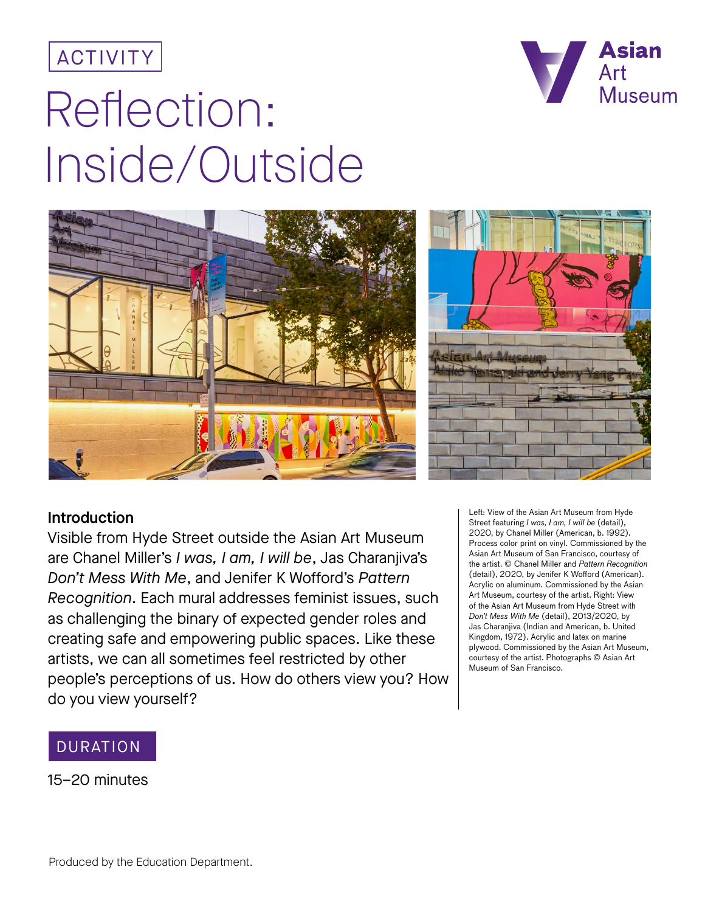



# Reflection: Inside/Outside





#### **Introduction**

Visible from Hyde Street outside the Asian Art Museum are Chanel Miller's *I was, I am, I will be*, Jas Charanjiva's *Don't Mess With Me*, and Jenifer K Wofford's *Pattern Recognition*. Each mural addresses feminist issues, such as challenging the binary of expected gender roles and creating safe and empowering public spaces. Like these artists, we can all sometimes feel restricted by other people's perceptions of us. How do others view you? How do you view yourself?

Left: View of the Asian Art Museum from Hyde Street featuring *I was, I am, I will be* (detail), 2020, by Chanel Miller (American, b. 1992). Process color print on vinyl. Commissioned by the Asian Art Museum of San Francisco, courtesy of the artist. © Chanel Miller and *Pattern Recognition* (detail), 2020, by Jenifer K Wofford (American). Acrylic on aluminum. Commissioned by the Asian Art Museum, courtesy of the artist. Right: View of the Asian Art Museum from Hyde Street with *Don't Mess With Me* (detail), 2013/2020, by Jas Charanjiva (Indian and American, b. United Kingdom, 1972). Acrylic and latex on marine plywood. Commissioned by the Asian Art Museum, courtesy of the artist. Photographs © Asian Art Museum of San Francisco.

### DURATION

15–20 minutes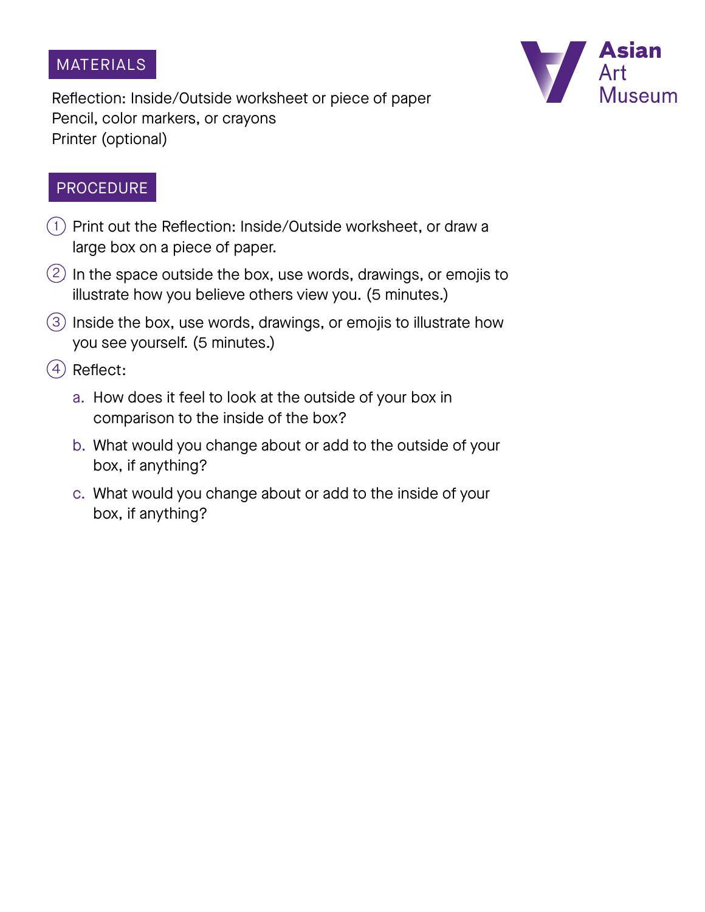### **MATERIALS**



Reflection: Inside/Outside worksheet or piece of paper Pencil, color markers, or crayons Printer (optional)

## PROCEDURE

- 1) Print out the Reflection: Inside/Outside worksheet, or draw a large box on a piece of paper.
- $2)$  In the space outside the box, use words, drawings, or emojis to illustrate how you believe others view you. (5 minutes.)
- 3) Inside the box, use words, drawings, or emojis to illustrate how you see yourself. (5 minutes.)
- $4)$  Reflect:
	- a. How does it feel to look at the outside of your box in comparison to the inside of the box?
	- b. What would you change about or add to the outside of your box, if anything?
	- c. What would you change about or add to the inside of your box, if anything?